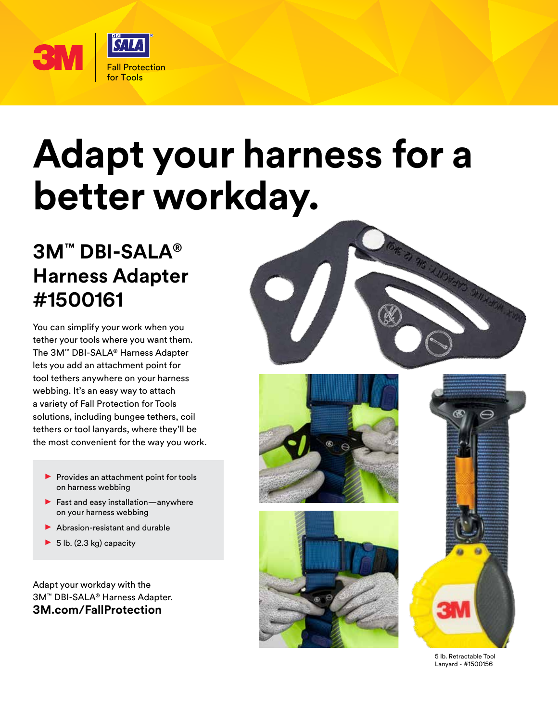

## **Adapt your harness for a better workday.**

## **3M™ DBI-SALA® Harness Adapter #1500161**

You can simplify your work when you tether your tools where you want them. The 3M™ DBI-SALA® Harness Adapter lets you add an attachment point for tool tethers anywhere on your harness webbing. It's an easy way to attach a variety of Fall Protection for Tools solutions, including bungee tethers, coil tethers or tool lanyards, where they'll be the most convenient for the way you work.

- Provides an attachment point for tools on harness webbing
- $\blacktriangleright$  Fast and easy installation—anywhere on your harness webbing
- $\blacktriangleright$  Abrasion-resistant and durable
- $\blacktriangleright$  5 lb. (2.3 kg) capacity

Adapt your workday with the 3M™ DBI-SALA® Harness Adapter. **3M.com/FallProtection**









5 lb. Retractable Tool Lanyard - #1500156